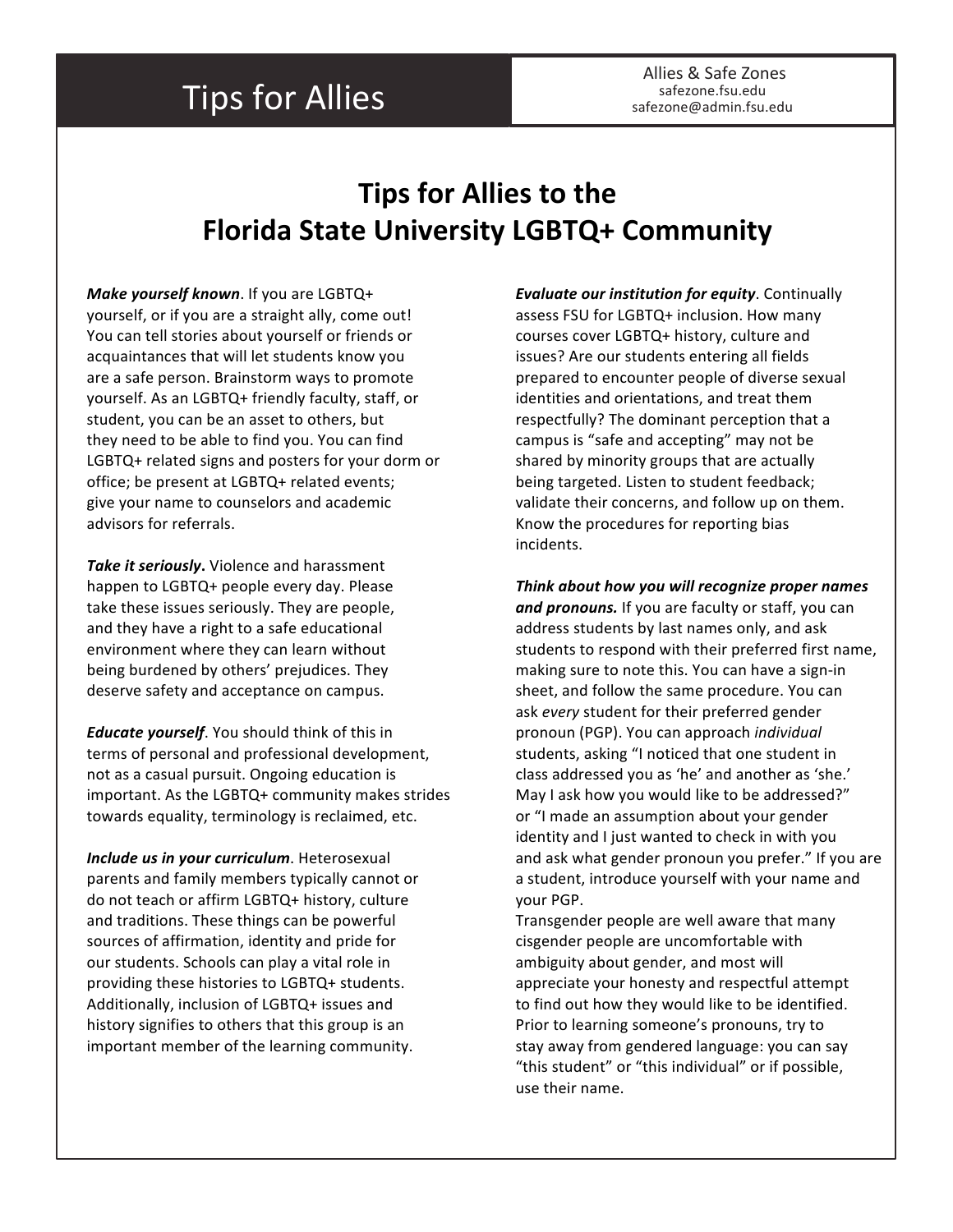## **Tips for Allies**

## **Tips** for Allies to the **Florida State University LGBTQ+ Community**

*Make yourself known*. If you are LGBTQ+ yourself, or if you are a straight ally, come out! You can tell stories about yourself or friends or acquaintances that will let students know you are a safe person. Brainstorm ways to promote yourself. As an LGBTQ+ friendly faculty, staff, or student, you can be an asset to others, but they need to be able to find you. You can find LGBTQ+ related signs and posters for your dorm or office; be present at LGBTQ+ related events; give your name to counselors and academic advisors for referrals.

**Take it seriously.** Violence and harassment happen to LGBTQ+ people every day. Please take these issues seriously. They are people, and they have a right to a safe educational environment where they can learn without being burdened by others' prejudices. They deserve safety and acceptance on campus.

*Educate yourself.* You should think of this in terms of personal and professional development, not as a casual pursuit. Ongoing education is important. As the LGBTQ+ community makes strides towards equality, terminology is reclaimed, etc.

*Include us in your curriculum*. Heterosexual parents and family members typically cannot or do not teach or affirm LGBTQ+ history, culture and traditions. These things can be powerful sources of affirmation, identity and pride for our students. Schools can play a vital role in providing these histories to LGBTQ+ students. Additionally, inclusion of LGBTQ+ issues and history signifies to others that this group is an important member of the learning community.

*Evaluate our institution for equity.* Continually assess FSU for LGBTQ+ inclusion. How many courses cover LGBTQ+ history, culture and issues? Are our students entering all fields prepared to encounter people of diverse sexual identities and orientations, and treat them respectfully? The dominant perception that a campus is "safe and accepting" may not be shared by minority groups that are actually being targeted. Listen to student feedback; validate their concerns, and follow up on them. Know the procedures for reporting bias incidents.

*Think about how you will recognize proper names*  and pronouns. If you are faculty or staff, you can address students by last names only, and ask students to respond with their preferred first name, making sure to note this. You can have a sign-in sheet, and follow the same procedure. You can ask *every* student for their preferred gender pronoun (PGP). You can approach *individual* students, asking "I noticed that one student in class addressed you as 'he' and another as 'she.' May I ask how you would like to be addressed?" or "I made an assumption about your gender identity and I just wanted to check in with you and ask what gender pronoun you prefer." If you are a student, introduce yourself with your name and your PGP.

Transgender people are well aware that many cisgender people are uncomfortable with ambiguity about gender, and most will appreciate your honesty and respectful attempt to find out how they would like to be identified. Prior to learning someone's pronouns, try to stay away from gendered language: you can say "this student" or "this individual" or if possible, use their name.